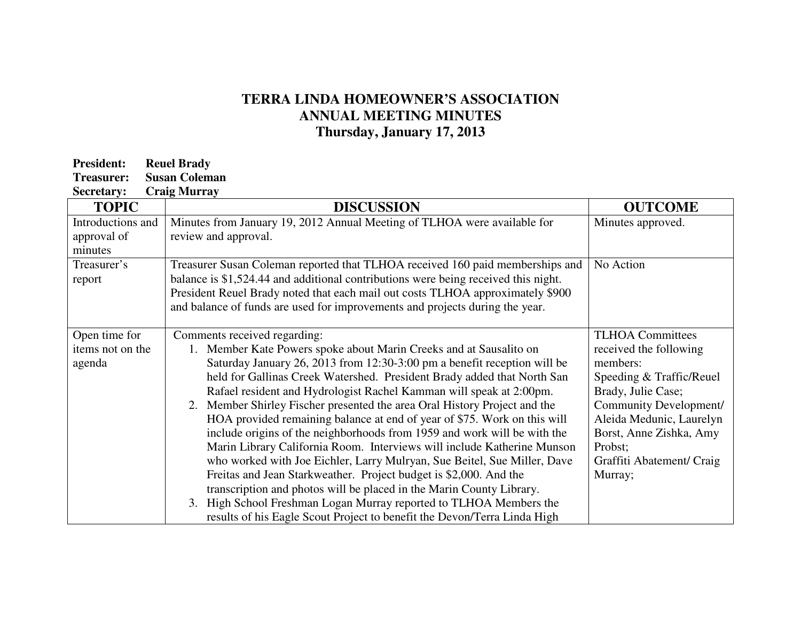## **TERRA LINDA HOMEOWNER'S ASSOCIATION ANNUAL MEETING MINUTES Thursday, January 17, 2013**

| <b>Reuel Brady</b>   |
|----------------------|
| <b>Susan Coleman</b> |
|                      |

|  | <b>Secretary:</b> | <b>Craig Murray</b> |
|--|-------------------|---------------------|
|--|-------------------|---------------------|

| <b>TOPIC</b>      | <b>DISCUSSION</b>                                                                  | <b>OUTCOME</b>            |
|-------------------|------------------------------------------------------------------------------------|---------------------------|
| Introductions and | Minutes from January 19, 2012 Annual Meeting of TLHOA were available for           | Minutes approved.         |
| approval of       | review and approval.                                                               |                           |
| minutes           |                                                                                    |                           |
| Treasurer's       | Treasurer Susan Coleman reported that TLHOA received 160 paid memberships and      | No Action                 |
| report            | balance is \$1,524.44 and additional contributions were being received this night. |                           |
|                   | President Reuel Brady noted that each mail out costs TLHOA approximately \$900     |                           |
|                   | and balance of funds are used for improvements and projects during the year.       |                           |
|                   |                                                                                    |                           |
| Open time for     | Comments received regarding:                                                       | <b>TLHOA Committees</b>   |
| items not on the  | 1. Member Kate Powers spoke about Marin Creeks and at Sausalito on                 | received the following    |
| agenda            | Saturday January 26, 2013 from 12:30-3:00 pm a benefit reception will be           | members:                  |
|                   | held for Gallinas Creek Watershed. President Brady added that North San            | Speeding & Traffic/Reuel  |
|                   | Rafael resident and Hydrologist Rachel Kamman will speak at 2:00pm.                | Brady, Julie Case;        |
|                   | 2. Member Shirley Fischer presented the area Oral History Project and the          | Community Development/    |
|                   | HOA provided remaining balance at end of year of \$75. Work on this will           | Aleida Medunic, Laurelyn  |
|                   | include origins of the neighborhoods from 1959 and work will be with the           | Borst, Anne Zishka, Amy   |
|                   | Marin Library California Room. Interviews will include Katherine Munson            | Probst;                   |
|                   | who worked with Joe Eichler, Larry Mulryan, Sue Beitel, Sue Miller, Dave           | Graffiti Abatement/ Craig |
|                   | Freitas and Jean Starkweather. Project budget is \$2,000. And the                  | Murray;                   |
|                   | transcription and photos will be placed in the Marin County Library.               |                           |
|                   | High School Freshman Logan Murray reported to TLHOA Members the<br>3.              |                           |
|                   | results of his Eagle Scout Project to benefit the Devon/Terra Linda High           |                           |